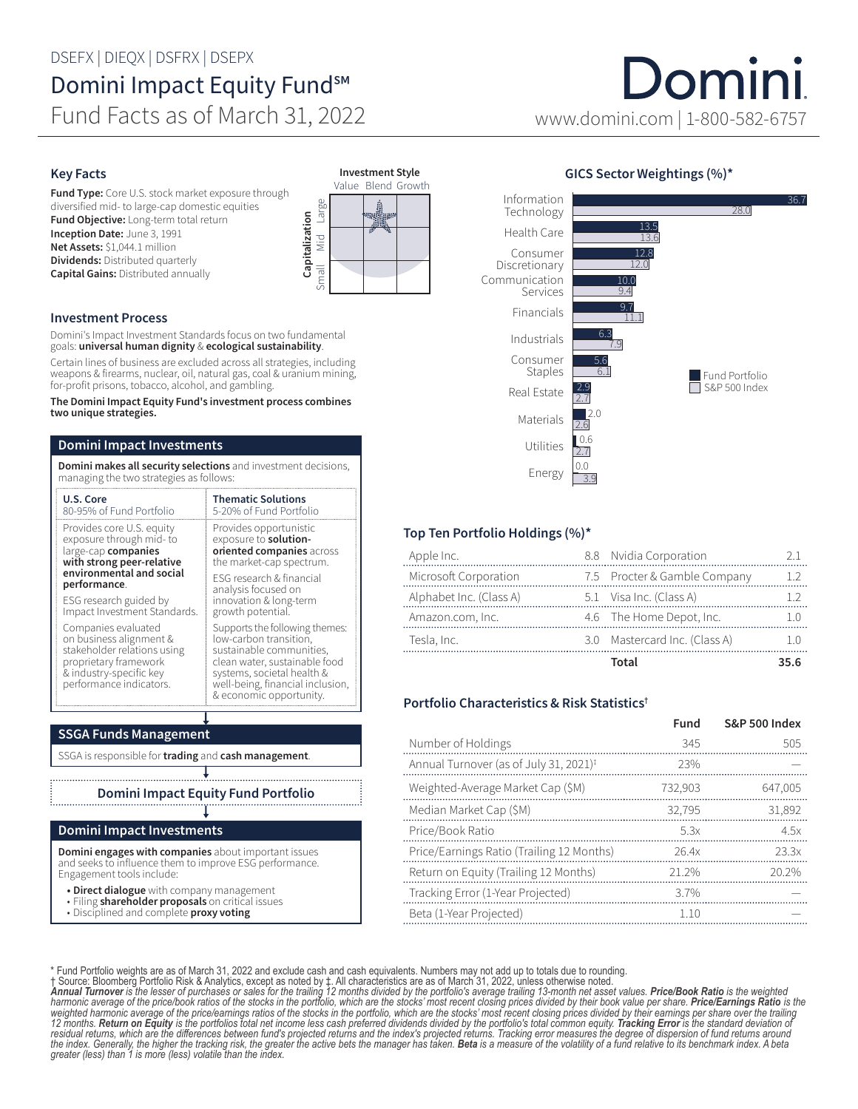## DSEFX | DIEQX | DSFRX | DSEPX Domini Impact Equity Fund<sup>sM</sup>

Fund Facts as of March 31, 2022

#### Key Facts

Fund Type: Core U.S. stock market exposure through diversified mid- to large-cap domestic equities Fund Objective: Long-term total return Inception Date: June 3, 1991 Net Assets: \$1,044.1 million **Dividends:** Distributed quarterly Capital Gains: Distributed annually

#### Investment Process

Domini's Impact Investment Standards focus on two fundamental goals: universal human dignity & ecological sustainability.

Certain lines of business are excluded across all strategies, including weapons & firearms, nuclear, oil, natural gas, coal & uranium mining, for-profit prisons, tobacco, alcohol, and gambling.

The Domini Impact Equity Fund's investment process combines two unique strategies.

#### Domini Impact Investments

Domini makes all security selections and investment decisions, managing the two strategies as follows:

| U.S. Core                                                                                                                                                    | <b>Thematic Solutions</b>                                                                                                                                                                                          |  |  |  |  |
|--------------------------------------------------------------------------------------------------------------------------------------------------------------|--------------------------------------------------------------------------------------------------------------------------------------------------------------------------------------------------------------------|--|--|--|--|
| 80-95% of Fund Portfolio                                                                                                                                     | 5-20% of Fund Portfolio                                                                                                                                                                                            |  |  |  |  |
| Provides core U.S. equity                                                                                                                                    | Provides opportunistic                                                                                                                                                                                             |  |  |  |  |
| exposure through mid-to                                                                                                                                      | exposure to <b>solution-</b>                                                                                                                                                                                       |  |  |  |  |
| large-cap companies                                                                                                                                          | oriented companies across                                                                                                                                                                                          |  |  |  |  |
| with strong peer-relative                                                                                                                                    | the market-cap spectrum.                                                                                                                                                                                           |  |  |  |  |
| environmental and social                                                                                                                                     | <b>FSG</b> research & financial                                                                                                                                                                                    |  |  |  |  |
| performance.                                                                                                                                                 | analysis focused on                                                                                                                                                                                                |  |  |  |  |
| ESG research guided by                                                                                                                                       | innovation & long-term                                                                                                                                                                                             |  |  |  |  |
| Impact Investment Standards.                                                                                                                                 | growth potential.                                                                                                                                                                                                  |  |  |  |  |
| Companies evaluated<br>on business alignment &<br>stakeholder relations using<br>proprietary framework<br>& industry-specific key<br>performance indicators. | Supports the following themes:<br>low-carbon transition,<br>sustainable communities,<br>clean water, sustainable food<br>systems, societal health &<br>well-being, financial inclusion,<br>& economic opportunity. |  |  |  |  |

### SSGA Funds Management

SSGA is responsible for trading and cash management.

Domini Impact Equity Fund Portfolio

#### Domini Impact Investments

Domini engages with companies about important issues and seeks to influence them to improve ESG performance. Engagement tools include:

- Direct dialogue with company management
- Filing shareholder proposals on critical issues
- Disciplined and complete proxy voting





Large

Capitalization

# Domini www.domini.com | 1-800-582-6757

#### GICS Sector Weightings (%)\*



#### Top Ten Portfolio Holdings (%)\*

|                         | Total                         | 35.6 |
|-------------------------|-------------------------------|------|
| Tesla, Inc.             | 3.0 Mastercard Inc. (Class A) |      |
| Amazon.com, Inc.        | 4.6 The Home Depot, Inc.      |      |
| Alphabet Inc. (Class A) | 5.1 Visa Inc. (Class A)       |      |
| Microsoft Corporation   | 7.5 Procter & Gamble Company  |      |
| Apple Inc.              | 8.8 Nvidia Corporation        |      |

#### Portfolio Characteristics & Risk Statistics†

|                                                    | Fund    | <b>S&amp;P 500 Index</b> |
|----------------------------------------------------|---------|--------------------------|
| Number of Holdings                                 | 345     | 505                      |
| Annual Turnover (as of July 31, 2021) <sup>‡</sup> | 23%     |                          |
| Weighted-Average Market Cap (\$M)                  | 732.903 | 647,005                  |
| Median Market Cap (\$M)                            | 32.795  | 31,892                   |
| Price/Book Ratio                                   | 5.3x    | 4.5x                     |
| Price/Earnings Ratio (Trailing 12 Months)          | 26.4x   | 23.3x                    |
| Return on Equity (Trailing 12 Months)              | 21.2%   | 20.2%                    |
| Tracking Error (1-Year Projected)                  | 37%     |                          |
| Beta (1-Year Projected)                            | 1.10    |                          |

\* Fund Portfolio weights are as of March 31, 2022 and exclude cash and cash equivalents. Numbers may not add up to totals due to rounding.<br>1 Source: Bloomberg Portfolio Risk & Analytics, except as noted by 1. All character 12 months. **Return on Equity** is the portfolios total net income less cash preferred dividends divided by the portfolio's total common equity. **Tracking Error** is the standard deviation of<br>residual returns, which are the d the index. Generally, the higher the tracking risk, the greater the active bets the manager has taken. **Beta** is a measure of the volatility of a fund relative to its benchmark index. A beta<br>greater (less) than 1 is more (